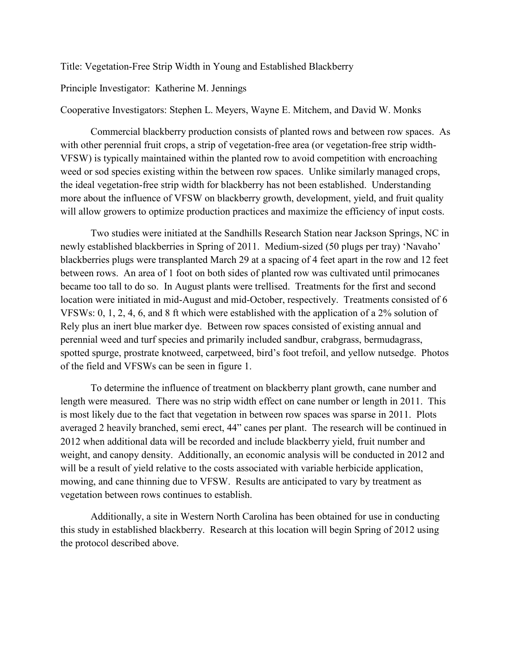Title: Vegetation-Free Strip Width in Young and Established Blackberry

Principle Investigator: Katherine M. Jennings

Cooperative Investigators: Stephen L. Meyers, Wayne E. Mitchem, and David W. Monks

Commercial blackberry production consists of planted rows and between row spaces. As with other perennial fruit crops, a strip of vegetation-free area (or vegetation-free strip width-VFSW) is typically maintained within the planted row to avoid competition with encroaching weed or sod species existing within the between row spaces. Unlike similarly managed crops, the ideal vegetation-free strip width for blackberry has not been established. Understanding more about the influence of VFSW on blackberry growth, development, yield, and fruit quality will allow growers to optimize production practices and maximize the efficiency of input costs.

Two studies were initiated at the Sandhills Research Station near Jackson Springs, NC in newly established blackberries in Spring of 2011. Medium-sized (50 plugs per tray) 'Navaho' blackberries plugs were transplanted March 29 at a spacing of 4 feet apart in the row and 12 feet between rows. An area of 1 foot on both sides of planted row was cultivated until primocanes became too tall to do so. In August plants were trellised. Treatments for the first and second location were initiated in mid-August and mid-October, respectively. Treatments consisted of 6 VFSWs: 0, 1, 2, 4, 6, and 8 ft which were established with the application of a 2% solution of Rely plus an inert blue marker dye. Between row spaces consisted of existing annual and perennial weed and turf species and primarily included sandbur, crabgrass, bermudagrass, spotted spurge, prostrate knotweed, carpetweed, bird's foot trefoil, and yellow nutsedge. Photos of the field and VFSWs can be seen in figure 1.

To determine the influence of treatment on blackberry plant growth, cane number and length were measured. There was no strip width effect on cane number or length in 2011. This is most likely due to the fact that vegetation in between row spaces was sparse in 2011. Plots averaged 2 heavily branched, semi erect, 44" canes per plant. The research will be continued in 2012 when additional data will be recorded and include blackberry yield, fruit number and weight, and canopy density. Additionally, an economic analysis will be conducted in 2012 and will be a result of yield relative to the costs associated with variable herbicide application, mowing, and cane thinning due to VFSW. Results are anticipated to vary by treatment as vegetation between rows continues to establish.

Additionally, a site in Western North Carolina has been obtained for use in conducting this study in established blackberry. Research at this location will begin Spring of 2012 using the protocol described above.